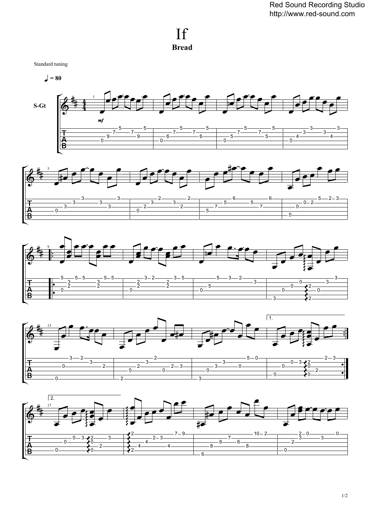## If **Bread**

Standard tuning

 $\vert$  = 80